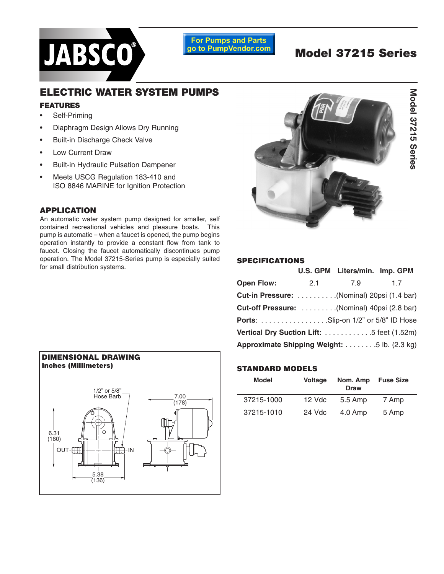

**For Pumps and Parts** go to PumpVendor.com

# **Model 37215 Series**

# Model 37215 Series **Model 37215 Series**

## **ELECTRIC WATER SYSTEM PUMPS**

#### **FEATURES**

- Self-Priming
- Diaphragm Design Allows Dry Running
- Built-in Discharge Check Valve
- Low Current Draw
- Built-in Hydraulic Pulsation Dampener
- Meets USCG Regulation 183-410 and ISO 8846 MARINE for Ignition Protection

#### **APPLICATION**

An automatic water system pump designed for smaller, self contained recreational vehicles and pleasure boats. This pump is automatic – when a faucet is opened, the pump begins operation instantly to provide a constant flow from tank to faucet. Closing the faucet automatically discontinues pump operation. The Model 37215-Series pump is especially suited for small distribution systems.



#### **SPECIFICATIONS**

|                                              |     | U.S. GPM Liters/min. Imp. GPM |    |
|----------------------------------------------|-----|-------------------------------|----|
| <b>Open Flow:</b>                            | 2.1 | 7.9                           | 17 |
| Cut-in Pressure: (Nominal) 20psi (1.4 bar)   |     |                               |    |
| Cut-off Pressure:  (Nominal) 40psi (2.8 bar) |     |                               |    |
| <b>Ports:</b> Slip-on 1/2" or 5/8" ID Hose   |     |                               |    |
| Vertical Dry Suction Lift: 5 feet (1.52m)    |     |                               |    |
| Approximate Shipping Weight: 5 lb. (2.3 kg)  |     |                               |    |



#### **STANDARD MODELS**

| <b>Model</b> | <b>Voltage</b> | Nom. Amp<br><b>Draw</b> | <b>Fuse Size</b> |
|--------------|----------------|-------------------------|------------------|
| 37215-1000   | $12$ Vdc       | 5.5 Amp                 | 7 Amp            |
| 37215-1010   | 24 Vdc         | $4.0 \text{ Amp}$       | 5 Amp            |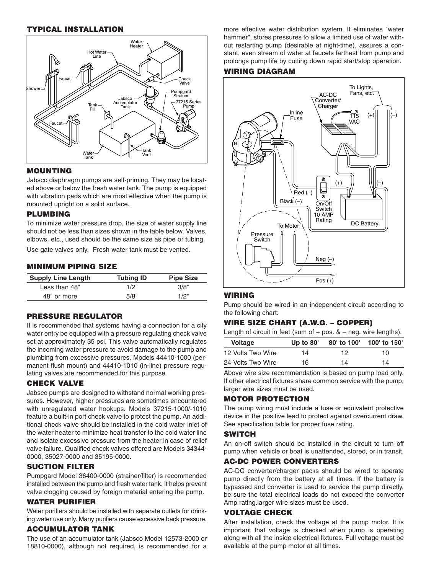#### **TYPICAL INSTALLATION**



#### **MOUNTING**

Jabsco diaphragm pumps are self-priming. They may be located above or below the fresh water tank. The pump is equipped with vibration pads which are most effective when the pump is mounted upright on a solid surface.

#### **PLUMBING**

To minimize water pressure drop, the size of water supply line should not be less than sizes shown in the table below. Valves, elbows, etc., used should be the same size as pipe or tubing.

Use gate valves only. Fresh water tank must be vented.

#### **MINIMUM PIPING SIZE**

| <b>Supply Line Length</b> | <b>Tubing ID</b> | <b>Pipe Size</b> |
|---------------------------|------------------|------------------|
| Less than 48"             | 1/2"             | 3/8"             |
| 48" or more               | 5/8"             | 1/2"             |

#### **PRESSURE REGULATOR**

It is recommended that systems having a connection for a city water entry be equipped with a pressure regulating check valve set at approximately 35 psi. This valve automatically regulates the incoming water pressure to avoid damage to the pump and plumbing from excessive pressures. Models 44410-1000 (permanent flush mount) and 44410-1010 (in-line) pressure regulating valves are recommended for this purpose.

#### **CHECK VALVE**

Jabsco pumps are designed to withstand normal working pressures. However, higher pressures are sometimes encountered with unregulated water hookups. Models 37215-1000/-1010 feature a built-in port check valve to protect the pump. An additional check valve should be installed in the cold water inlet of the water heater to minimize heat transfer to the cold water line and isolate excessive pressure from the heater in case of relief valve failure. Qualified check valves offered are Models 34344- 0000, 35027-0000 and 35195-0000.

#### **SUCTION FILTER**

Pumpgard Model 36400-0000 (strainer/filter) is recommended installed between the pump and fresh water tank. It helps prevent valve clogging caused by foreign material entering the pump.

#### **WATER PURIFIER**

Water purifiers should be installed with separate outlets for drinking water use only. Many purifiers cause excessive back pressure.

#### **ACCUMULATOR TANK**

The use of an accumulator tank (Jabsco Model 12573-2000 or 18810-0000), although not required, is recommended for a more effective water distribution system. It eliminates "water hammer", stores pressures to allow a limited use of water without restarting pump (desirable at night-time), assures a constant, even stream of water at faucets farthest from pump and prolongs pump life by cutting down rapid start/stop operation.

#### **WIRING DIAGRAM**



#### **WIRING**

Pump should be wired in an independent circuit according to the following chart:

#### **WIRE SIZE CHART (A.W.G. – COPPER)**

Length of circuit in feet (sum of  $+$  pos.  $& -$  neg. wire lengths).

| <b>Voltage</b>    | Up to $80'$ | 80' to 100' | 100' to 150' |
|-------------------|-------------|-------------|--------------|
| 12 Volts Two Wire | 14          | 12          | 10           |
| 24 Volts Two Wire | 16          | 14          | 14           |

Above wire size recommendation is based on pump load only. If other electrical fixtures share common service with the pump, larger wire sizes must be used.

#### **MOTOR PROTECTION**

The pump wiring must include a fuse or equivalent protective device in the positive lead to protect against overcurrent draw. See specification table for proper fuse rating.

#### **SWITCH**

An on-off switch should be installed in the circuit to turn off pump when vehicle or boat is unattended, stored, or in transit.

#### **AC-DC POWER CONVERTERS**

AC-DC converter/charger packs should be wired to operate pump directly from the battery at all times. If the battery is bypassed and converter is used to service the pump directly, be sure the total electrical loads do not exceed the converter Amp rating.larger wire sizes must be used.

#### **VOLTAGE CHECK**

After installation, check the voltage at the pump motor. It is important that voltage is checked when pump is operating along with all the inside electrical fixtures. Full voltage must be available at the pump motor at all times.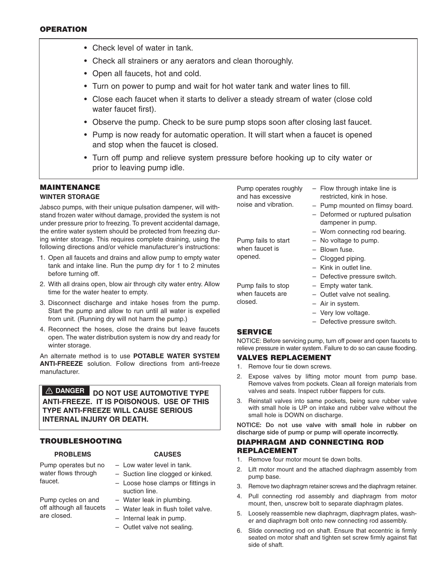- Check level of water in tank.
- Check all strainers or any aerators and clean thoroughly.
- Open all faucets, hot and cold.
- Turn on power to pump and wait for hot water tank and water lines to fill.
- Close each faucet when it starts to deliver a steady stream of water (close cold water faucet first).
- Observe the pump. Check to be sure pump stops soon after closing last faucet.
- Pump is now ready for automatic operation. It will start when a faucet is opened and stop when the faucet is closed.
- Turn off pump and relieve system pressure before hooking up to city water or prior to leaving pump idle.

#### **MAINTENANCE WINTER STORAGE**

Jabsco pumps, with their unique pulsation dampener, will withstand frozen water without damage, provided the system is not under pressure prior to freezing. To prevent accidental damage, the entire water system should be protected from freezing during winter storage. This requires complete draining, using the following directions and/or vehicle manufacturer's instructions:

- 1. Open all faucets and drains and allow pump to empty water tank and intake line. Run the pump dry for 1 to 2 minutes before turning off.
- 2. With all drains open, blow air through city water entry. Allow time for the water heater to empty.
- 3. Disconnect discharge and intake hoses from the pump. Start the pump and allow to run until all water is expelled from unit. (Running dry will not harm the pump.)
- 4. Reconnect the hoses, close the drains but leave faucets open. The water distribution system is now dry and ready for winter storage.

An alternate method is to use **POTABLE WATER SYSTEM ANTI-FREEZE** solution. Follow directions from anti-freeze manufacturer.

**DANGER DO NOT USE AUTOMOTIVE TYPE ANTI-FREEZE. IT IS POISONOUS. USE OF THIS TYPE ANTI-FREEZE WILL CAUSE SERIOUS INTERNAL INJURY OR DEATH.**

#### **TROUBLESHOOTING**

#### **PROBLEMS**

#### **CAUSES**

Pump operates but no water flows through faucet.

- Low water level in tank. – Suction line clogged or kinked.
- Loose hose clamps or fittings in suction line.
- Pump cycles on and off although all faucets are closed.
- Water leak in plumbing.
- Water leak in flush toilet valve.
- Internal leak in pump.
- Outlet valve not sealing.

Pump operates roughly and has excessive noise and vibration.

- Flow through intake line is restricted, kink in hose.
- Pump mounted on flimsy board.
- Deformed or ruptured pulsation dampener in pump.
- Worn connecting rod bearing.
- No voltage to pump.
- Blown fuse.
- Clogged piping.
- Kink in outlet line.

– Empty water tank. – Outlet valve not sealing.

- Defective pressure switch.
- Pump fails to stop when faucets are closed.

Pump fails to start when faucet is opened.

- Air in system.
- Very low voltage.
- Defective pressure switch.

#### **SERVICE**

NOTICE: Before servicing pump, turn off power and open faucets to relieve pressure in water system. Failure to do so can cause flooding.

#### **VALVES REPLACEMENT**

- 1. Remove four tie down screws.
- 2. Expose valves by lifting motor mount from pump base. Remove valves from pockets. Clean all foreign materials from valves and seats. Inspect rubber flappers for cuts.
- 3. Reinstall valves into same pockets, being sure rubber valve with small hole is UP on intake and rubber valve without the small hole is DOWN on discharge.

**NOTICE: Do not use valve with small hole in rubber on discharge side of pump or pump will operate incorrectly.**

#### **DIAPHRAGM AND CONNECTING ROD REPLACEMENT**

- 1. Remove four motor mount tie down bolts.
- 2. Lift motor mount and the attached diaphragm assembly from pump base.
- 3. Remove two diaphragm retainer screws and the diaphragm retainer.
- 4. Pull connecting rod assembly and diaphragm from motor mount, then, unscrew bolt to separate diaphragm plates.
- 5. Loosely reassemble new diaphragm, diaphragm plates, washer and diaphragm bolt onto new connecting rod assembly.
- 6. Slide connecting rod on shaft. Ensure that eccentric is firmly seated on motor shaft and tighten set screw firmly against flat side of shaft.